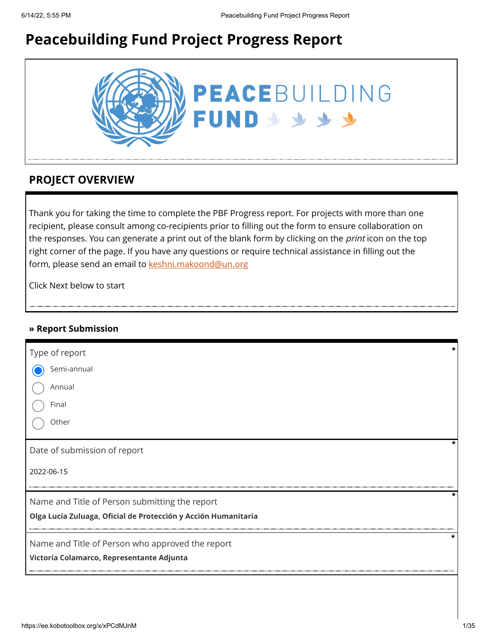# **Peacebuilding Fund Project Progress Report**



### **PROJECT OVERVIEW**

Thank you for taking the time to complete the PBF Progress report. For projects with more than one recipient, please consult among co-recipients prior to filling out the form to ensure collaboration on the responses. You can generate a print out of the blank form by clicking on the *print* icon on the top right corner of the page. If you have any questions or require technical assistance in filling out the form, please send an email to [keshni.makoond@un.org](https://ee.kobotoolbox.org/x/keshni.makoond@un.org)

Click Next below to start

### **» Report Submission**

| Type of report                                                 |   |
|----------------------------------------------------------------|---|
| Semi-annual                                                    |   |
| Annual                                                         |   |
| Final                                                          |   |
| Other                                                          |   |
| Date of submission of report                                   |   |
| 2022-06-15                                                     |   |
| Name and Title of Person submitting the report                 | * |
| Olga Lucía Zuluaga, Oficial de Protección y Acción Humanitaria |   |
| Name and Title of Person who approved the report               | * |
| Victoria Colamarco, Representante Adjunta                      |   |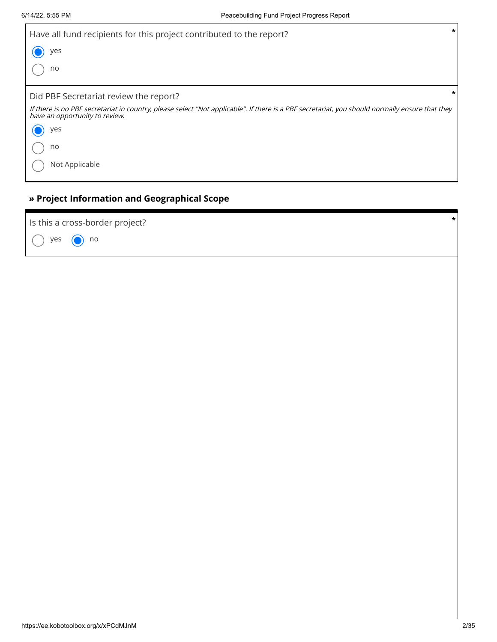| $\star$<br>Have all fund recipients for this project contributed to the report?                                                                                                  |
|----------------------------------------------------------------------------------------------------------------------------------------------------------------------------------|
| yes                                                                                                                                                                              |
| no                                                                                                                                                                               |
| *<br>Did PBF Secretariat review the report?                                                                                                                                      |
| If there is no PBF secretariat in country, please select "Not applicable". If there is a PBF secretariat, you should normally ensure that they<br>have an opportunity to review. |
| yes                                                                                                                                                                              |
| no                                                                                                                                                                               |
| Not Applicable                                                                                                                                                                   |

## **» Project Information and Geographical Scope**

| Is this a cross-border project? |  |
|---------------------------------|--|
| $\bigcirc$ yes $\bigcirc$ no    |  |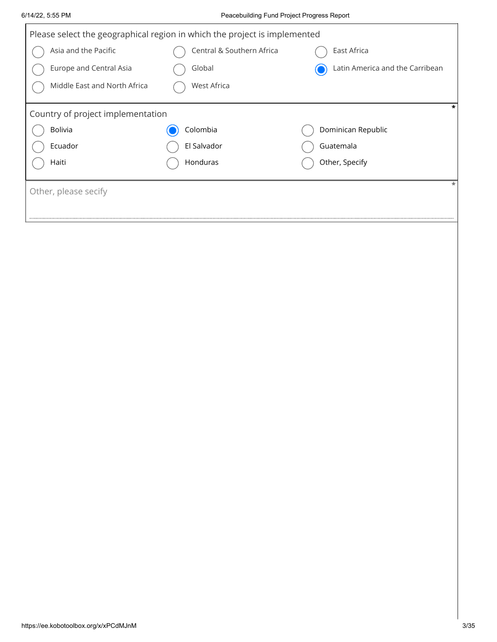| 6/14/22, 5:55 PM                  | Peacebuilding Fund Project Progress Report                                |                                 |
|-----------------------------------|---------------------------------------------------------------------------|---------------------------------|
|                                   | Please select the geographical region in which the project is implemented |                                 |
| Asia and the Pacific              | Central & Southern Africa                                                 | East Africa                     |
| Europe and Central Asia           | Global                                                                    | Latin America and the Carribean |
| Middle East and North Africa      | West Africa                                                               |                                 |
| Country of project implementation |                                                                           | $\star$                         |
| Bolivia                           | Colombia                                                                  | Dominican Republic              |
| Ecuador                           | El Salvador                                                               | Guatemala                       |
| Haiti                             | Honduras                                                                  | Other, Specify                  |
| Other, please secify              |                                                                           | $\ast$                          |
|                                   |                                                                           |                                 |
|                                   |                                                                           |                                 |
|                                   |                                                                           |                                 |
|                                   |                                                                           |                                 |
|                                   |                                                                           |                                 |
|                                   |                                                                           |                                 |
|                                   |                                                                           |                                 |
|                                   |                                                                           |                                 |
|                                   |                                                                           |                                 |
|                                   |                                                                           |                                 |
|                                   |                                                                           |                                 |
|                                   |                                                                           |                                 |
|                                   |                                                                           |                                 |
|                                   |                                                                           |                                 |
|                                   |                                                                           |                                 |
|                                   |                                                                           |                                 |
|                                   |                                                                           |                                 |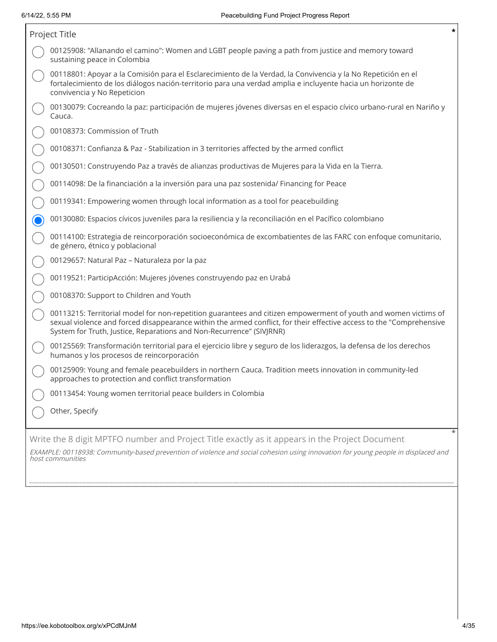| Project Title                                                                                                                                                                                                                                                                                                   | *      |
|-----------------------------------------------------------------------------------------------------------------------------------------------------------------------------------------------------------------------------------------------------------------------------------------------------------------|--------|
| 00125908: "Allanando el camino": Women and LGBT people paving a path from justice and memory toward<br>sustaining peace in Colombia                                                                                                                                                                             |        |
| 00118801: Apoyar a la Comisión para el Esclarecimiento de la Verdad, la Convivencia y la No Repetición en el<br>fortalecimiento de los diálogos nación-territorio para una verdad amplia e incluyente hacia un horizonte de<br>convivencia y No Repeticion                                                      |        |
| 00130079: Cocreando la paz: participación de mujeres jóvenes diversas en el espacio cívico urbano-rural en Nariño y<br>Cauca.                                                                                                                                                                                   |        |
| 00108373: Commission of Truth                                                                                                                                                                                                                                                                                   |        |
| 00108371: Confianza & Paz - Stabilization in 3 territories affected by the armed conflict                                                                                                                                                                                                                       |        |
| 00130501: Construyendo Paz a través de alianzas productivas de Mujeres para la Vida en la Tierra.                                                                                                                                                                                                               |        |
| 00114098: De la financiación a la inversión para una paz sostenida/ Financing for Peace                                                                                                                                                                                                                         |        |
| 00119341: Empowering women through local information as a tool for peacebuilding                                                                                                                                                                                                                                |        |
| 00130080: Espacios cívicos juveniles para la resiliencia y la reconciliación en el Pacífico colombiano                                                                                                                                                                                                          |        |
| 00114100: Estrategia de reincorporación socioeconómica de excombatientes de las FARC con enfoque comunitario,<br>de género, étnico y poblacional                                                                                                                                                                |        |
| 00129657: Natural Paz - Naturaleza por la paz                                                                                                                                                                                                                                                                   |        |
| 00119521: ParticipAcción: Mujeres jóvenes construyendo paz en Urabá                                                                                                                                                                                                                                             |        |
| 00108370: Support to Children and Youth                                                                                                                                                                                                                                                                         |        |
| 00113215: Territorial model for non-repetition guarantees and citizen empowerment of youth and women victims of<br>sexual violence and forced disappearance within the armed conflict, for their effective access to the "Comprehensive<br>System for Truth, Justice, Reparations and Non-Recurrence" (SIVJRNR) |        |
| 00125569: Transformación territorial para el ejercicio libre y seguro de los liderazgos, la defensa de los derechos<br>humanos y los procesos de reincorporación                                                                                                                                                |        |
| 00125909: Young and female peacebuilders in northern Cauca. Tradition meets innovation in community-led<br>approaches to protection and conflict transformation                                                                                                                                                 |        |
| 00113454: Young women territorial peace builders in Colombia                                                                                                                                                                                                                                                    |        |
| Other, Specify                                                                                                                                                                                                                                                                                                  |        |
| Write the 8 digit MPTFO number and Project Title exactly as it appears in the Project Document<br>EXAMPLE: 00118938: Community-based prevention of violence and social cohesion using innovation for young people in displaced and<br>host communities                                                          | $\ast$ |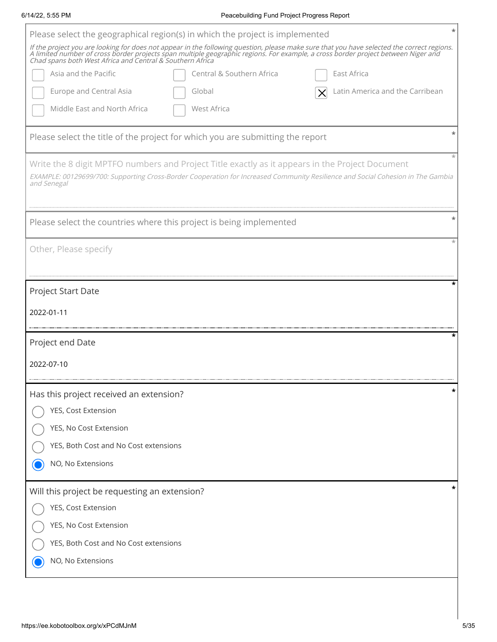ľ

### 6/14/22, 5:55 PM Peacebuilding Fund Project Progress Report

| Please select the geographical region(s) in which the project is implemented                                                                                                                                                                      |
|---------------------------------------------------------------------------------------------------------------------------------------------------------------------------------------------------------------------------------------------------|
| If the project you are looking for does not appear in the following question, please make sure that you have selected the correct regions.<br>A limited number of cross border projects span multiple geographic regions. For exa                 |
| Asia and the Pacific<br>Central & Southern Africa<br>East Africa                                                                                                                                                                                  |
| <b>Europe and Central Asia</b><br>Latin America and the Carribean<br>Global                                                                                                                                                                       |
| Middle East and North Africa<br>West Africa                                                                                                                                                                                                       |
| Please select the title of the project for which you are submitting the report                                                                                                                                                                    |
| Write the 8 digit MPTFO numbers and Project Title exactly as it appears in the Project Document<br>EXAMPLE: 00129699/700: Supporting Cross-Border Cooperation for Increased Community Resilience and Social Cohesion in The Gambia<br>and Senegal |
| Please select the countries where this project is being implemented                                                                                                                                                                               |
| Other, Please specify                                                                                                                                                                                                                             |
| Project Start Date                                                                                                                                                                                                                                |
| 2022-01-11                                                                                                                                                                                                                                        |
| Project end Date                                                                                                                                                                                                                                  |
| 2022-07-10                                                                                                                                                                                                                                        |
| Has this project received an extension?                                                                                                                                                                                                           |
| YES, Cost Extension                                                                                                                                                                                                                               |
| YES, No Cost Extension                                                                                                                                                                                                                            |
| YES, Both Cost and No Cost extensions                                                                                                                                                                                                             |
| NO, No Extensions                                                                                                                                                                                                                                 |
| *<br>Will this project be requesting an extension?                                                                                                                                                                                                |
| YES, Cost Extension                                                                                                                                                                                                                               |
| YES, No Cost Extension                                                                                                                                                                                                                            |
| YES, Both Cost and No Cost extensions                                                                                                                                                                                                             |
| NO, No Extensions                                                                                                                                                                                                                                 |
|                                                                                                                                                                                                                                                   |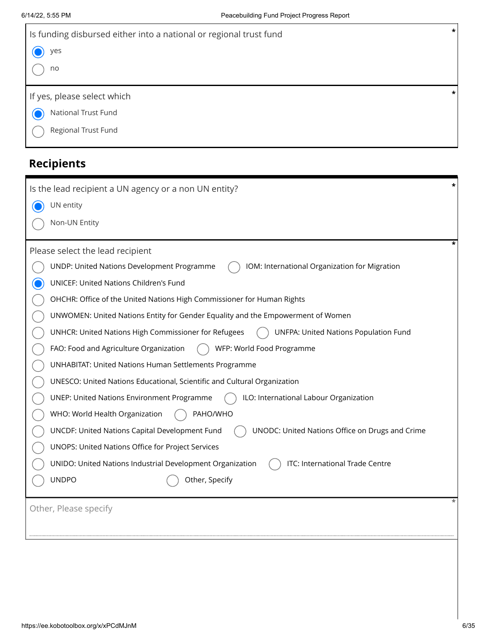| Is funding disbursed either into a national or regional trust fund | $\star$ |
|--------------------------------------------------------------------|---------|
| ) yes                                                              |         |
| no                                                                 |         |
|                                                                    |         |
|                                                                    | $\star$ |
| If yes, please select which                                        |         |
| National Trust Fund                                                |         |

# **Recipients**

| Is the lead recipient a UN agency or a non UN entity?                                             |
|---------------------------------------------------------------------------------------------------|
| UN entity                                                                                         |
| Non-UN Entity                                                                                     |
| Please select the lead recipient                                                                  |
| UNDP: United Nations Development Programme<br>IOM: International Organization for Migration       |
| UNICEF: United Nations Children's Fund                                                            |
| OHCHR: Office of the United Nations High Commissioner for Human Rights                            |
| UNWOMEN: United Nations Entity for Gender Equality and the Empowerment of Women                   |
| UNHCR: United Nations High Commissioner for Refugees<br>UNFPA: United Nations Population Fund     |
| FAO: Food and Agriculture Organization<br>WFP: World Food Programme                               |
| <b>UNHABITAT: United Nations Human Settlements Programme</b>                                      |
| UNESCO: United Nations Educational, Scientific and Cultural Organization                          |
| <b>UNEP: United Nations Environment Programme</b><br>ILO: International Labour Organization       |
| WHO: World Health Organization<br>PAHO/WHO                                                        |
| UNODC: United Nations Office on Drugs and Crime<br>UNCDF: United Nations Capital Development Fund |
| UNOPS: United Nations Office for Project Services                                                 |
| UNIDO: United Nations Industrial Development Organization<br>ITC: International Trade Centre      |
| <b>UNDPO</b><br>Other, Specify                                                                    |
| Other, Please specify                                                                             |
|                                                                                                   |
|                                                                                                   |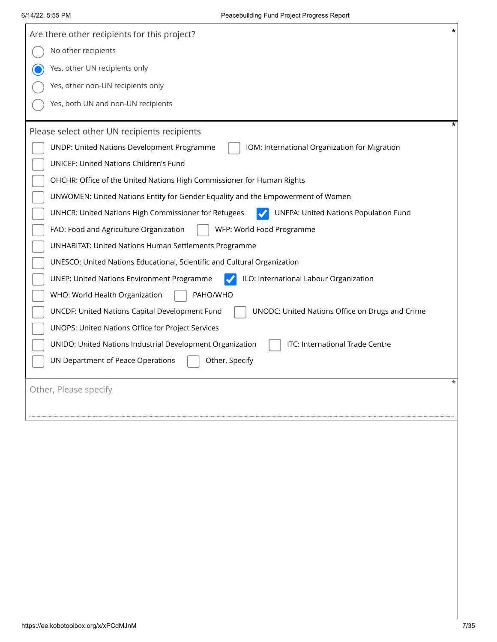| *<br>Are there other recipients for this project?                                                        |
|----------------------------------------------------------------------------------------------------------|
| No other recipients                                                                                      |
| Yes, other UN recipients only                                                                            |
| Yes, other non-UN recipients only                                                                        |
| Yes, both UN and non-UN recipients                                                                       |
|                                                                                                          |
| Please select other UN recipients recipients                                                             |
| UNDP: United Nations Development Programme<br>IOM: International Organization for Migration              |
| UNICEF: United Nations Children's Fund                                                                   |
| OHCHR: Office of the United Nations High Commissioner for Human Rights                                   |
| UNWOMEN: United Nations Entity for Gender Equality and the Empowerment of Women                          |
| UNFPA: United Nations Population Fund<br>UNHCR: United Nations High Commissioner for Refugees            |
| FAO: Food and Agriculture Organization<br>WFP: World Food Programme                                      |
| UNHABITAT: United Nations Human Settlements Programme                                                    |
| UNESCO: United Nations Educational, Scientific and Cultural Organization                                 |
| <b>UNEP: United Nations Environment Programme</b><br>ILO: International Labour Organization              |
| WHO: World Health Organization<br>PAHO/WHO                                                               |
| <b>UNCDF: United Nations Capital Development Fund</b><br>UNODC: United Nations Office on Drugs and Crime |
| UNOPS: United Nations Office for Project Services                                                        |
| ITC: International Trade Centre<br>UNIDO: United Nations Industrial Development Organization             |
| UN Department of Peace Operations<br>Other, Specify                                                      |
|                                                                                                          |
| Other, Please specify                                                                                    |
|                                                                                                          |
|                                                                                                          |
|                                                                                                          |
|                                                                                                          |
|                                                                                                          |
|                                                                                                          |
|                                                                                                          |
|                                                                                                          |
|                                                                                                          |
|                                                                                                          |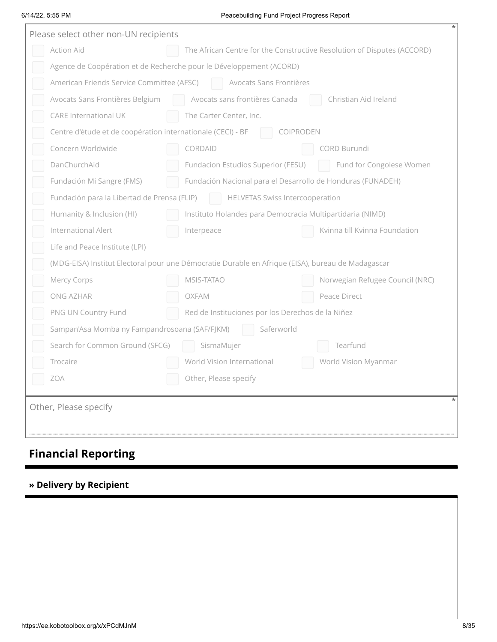### 6/14/22, 5:55 PM Peacebuilding Fund Project Progress Report

| Please select other non-UN recipients                       |                                                                                                   |
|-------------------------------------------------------------|---------------------------------------------------------------------------------------------------|
| <b>Action Aid</b>                                           | The African Centre for the Constructive Resolution of Disputes (ACCORD)                           |
|                                                             | Agence de Coopération et de Recherche pour le Développement (ACORD)                               |
| American Friends Service Committee (AFSC)                   | Avocats Sans Frontières                                                                           |
| Avocats Sans Frontières Belgium                             | Avocats sans frontières Canada<br>Christian Aid Ireland                                           |
| <b>CARE International UK</b>                                | The Carter Center, Inc.                                                                           |
| Centre d'étude et de coopération internationale (CECI) - BF | COIPRODEN                                                                                         |
| Concern Worldwide                                           | CORDAID<br>CORD Burundi                                                                           |
| DanChurchAid                                                | Fundacion Estudios Superior (FESU)<br>Fund for Congolese Women                                    |
| Fundación Mi Sangre (FMS)                                   | Fundación Nacional para el Desarrollo de Honduras (FUNADEH)                                       |
| Fundación para la Libertad de Prensa (FLIP)                 | <b>HELVETAS Swiss Intercooperation</b>                                                            |
| Humanity & Inclusion (HI)                                   | Instituto Holandes para Democracia Multipartidaria (NIMD)                                         |
| International Alert                                         | Interpeace<br>Kvinna till Kvinna Foundation                                                       |
| Life and Peace Institute (LPI)                              |                                                                                                   |
|                                                             | (MDG-EISA) Institut Electoral pour une Démocratie Durable en Afrique (EISA), bureau de Madagascar |
| Mercy Corps                                                 | MSIS-TATAO<br>Norwegian Refugee Council (NRC)                                                     |
| ONG AZHAR                                                   | <b>OXFAM</b><br>Peace Direct                                                                      |
| PNG UN Country Fund                                         | Red de Instituciones por los Derechos de la Niñez                                                 |
| Sampan'Asa Momba ny Fampandrosoana (SAF/FJKM)               | Saferworld                                                                                        |
| Search for Common Ground (SFCG)                             | Tearfund<br>SismaMujer                                                                            |
| Trocaire                                                    | World Vision International<br>World Vision Myanmar                                                |
| <b>ZOA</b>                                                  | Other, Please specify                                                                             |
| Other, Please specify                                       |                                                                                                   |

# **Financial Reporting**

### **» Delivery by Recipient**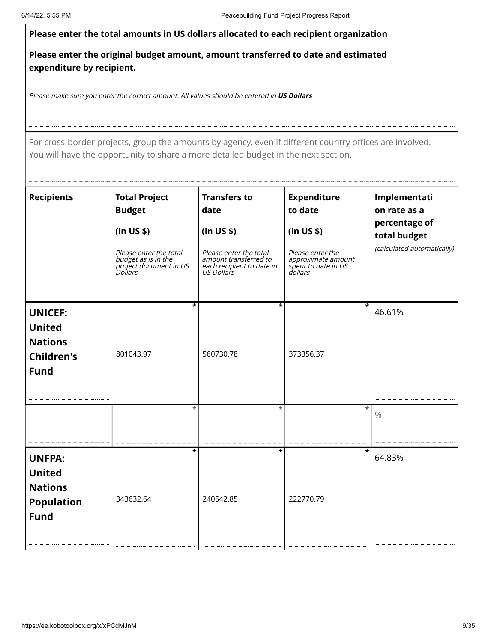### 6/14/22, 5:55 PM Peacebuilding Fund Project Progress Report **Please enter the total amounts in US dollars allocated to each recipient organization Please enter the original budget amount, amount transferred to date and estimated expenditure by recipient.** Please make sure you enter the correct amount. All values should be entered in **US Dollars** For cross-border projects, group the amounts by agency, even if different country offices are involved.<br>
How the cross-border project and the cross-border and the amounts by a country of the date<br> **Recipients**<br> **Recipients** You will have the opportunity to share a more detailed budget in the next section. **Recipients Total Project Budget (in US \$)** Please enter the total budget as is in the project document in US Dollars **Transfers to date (in US \$)** Please enter the total amount transferred to each recipient to date in US Dollars **Expenditure to date (in US \$)** Please enter the approximate amount spent to date in US dollars **Implementati on rate as a percentage of total budget** (calculated automatically) **UNICEF: United Nations Children's Fund** 801043.97 **\*** 560730.78 **\*** 373356.37 **\*** 46.61% **\* \* \*** % **UNFPA: United Nations Population Fund** 343632.64 **\*** 240542.85 **\*** 222770.79 **\*** 64.83%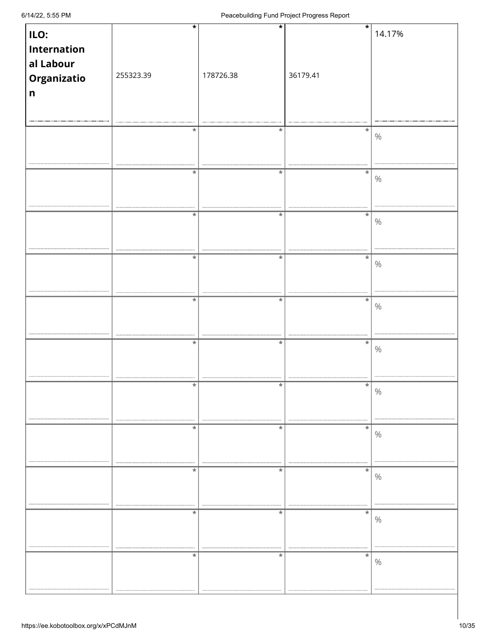| ILO:               | $\star$   | $\star$   | $\star$  | 14.17%        |
|--------------------|-----------|-----------|----------|---------------|
|                    |           |           |          |               |
| <b>Internation</b> |           |           |          |               |
|                    |           |           |          |               |
| al Labour          |           |           |          |               |
| Organizatio        | 255323.39 | 178726.38 | 36179.41 |               |
|                    |           |           |          |               |
| $\mathsf{n}$       |           |           |          |               |
|                    |           |           |          |               |
|                    |           |           |          |               |
|                    |           |           |          |               |
|                    | $\ast$    | $^\ast$   | *        |               |
|                    |           |           |          | $\%$          |
|                    |           |           |          |               |
|                    |           |           |          |               |
|                    |           |           |          |               |
|                    | $^\ast$   | $\ast$    | *        |               |
|                    |           |           |          | $\%$          |
|                    |           |           |          |               |
|                    |           |           |          |               |
|                    |           |           |          |               |
|                    | $\ast$    | $\ast$    | *        |               |
|                    |           |           |          | $\%$          |
|                    |           |           |          |               |
|                    |           |           |          |               |
|                    |           |           |          |               |
|                    | *         | $\ast$    | $\ast$   |               |
|                    |           |           |          | $\%$          |
|                    |           |           |          |               |
|                    |           |           |          |               |
|                    |           |           |          |               |
|                    | $\ast$    | $\ast$    | $\ast$   |               |
|                    |           |           |          | $\%$          |
|                    |           |           |          |               |
|                    |           |           |          |               |
|                    |           |           |          |               |
|                    | $\star$   | $\ast$    | $\ast$   |               |
|                    |           |           |          | $\%$          |
|                    |           |           |          |               |
|                    |           |           |          |               |
|                    |           |           |          |               |
|                    |           |           | *        | $\frac{0}{0}$ |
|                    |           |           |          |               |
|                    |           |           |          |               |
|                    |           |           |          |               |
|                    | $\ast$    | $\ast$    | $\ast$   |               |
|                    |           |           |          | $\%$          |
|                    |           |           |          |               |
|                    |           |           |          |               |
|                    |           | .         |          |               |
|                    | $\ast$    | $\ast$    | *        |               |
|                    |           |           |          | $\%$          |
|                    |           |           |          |               |
|                    |           |           |          |               |
|                    |           |           |          |               |
|                    | $\ast$    | $\ast$    | $\ast$   |               |
|                    |           |           |          | $\%$          |
|                    |           |           |          |               |
|                    |           |           |          |               |
|                    |           | .         | .        |               |
|                    | $\ast$    | $\ast$    | *        |               |
|                    |           |           |          | $\%$          |
|                    |           |           |          |               |
|                    |           |           |          |               |
|                    |           |           |          |               |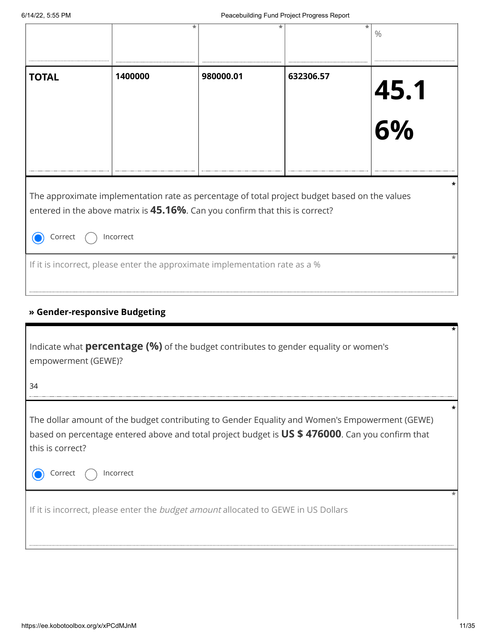| <b>TOTAL</b>                                             | 1400000                                                                                                                                                                                            | 980000.01 | 632306.57 | 45.1<br>6% |
|----------------------------------------------------------|----------------------------------------------------------------------------------------------------------------------------------------------------------------------------------------------------|-----------|-----------|------------|
|                                                          |                                                                                                                                                                                                    |           |           |            |
| Correct                                                  | The approximate implementation rate as percentage of total project budget based on the values<br>entered in the above matrix is 45.16%. Can you confirm that this is correct?<br>Incorrect         |           |           |            |
|                                                          | If it is incorrect, please enter the approximate implementation rate as a %                                                                                                                        |           |           |            |
|                                                          |                                                                                                                                                                                                    |           |           |            |
|                                                          | » Gender-responsive Budgeting                                                                                                                                                                      |           |           |            |
|                                                          | Indicate what <b>percentage (%)</b> of the budget contributes to gender equality or women's                                                                                                        |           |           |            |
|                                                          |                                                                                                                                                                                                    |           |           |            |
|                                                          | The dollar amount of the budget contributing to Gender Equality and Women's Empowerment (GEWE)<br>based on percentage entered above and total project budget is US \$ 476000. Can you confirm that |           |           |            |
| empowerment (GEWE)?<br>34<br>this is correct?<br>Correct | Incorrect                                                                                                                                                                                          |           |           |            |
|                                                          | If it is incorrect, please enter the budget amount allocated to GEWE in US Dollars                                                                                                                 |           |           |            |

### **» Gender-responsive Budgeting**

| Indicate what <b>percentage (%)</b> of the budget contributes to gender equality or women's<br>empowerment (GEWE)?<br>34                                                                                                                      |  |
|-----------------------------------------------------------------------------------------------------------------------------------------------------------------------------------------------------------------------------------------------|--|
| The dollar amount of the budget contributing to Gender Equality and Women's Empowerment (GEWE)<br>based on percentage entered above and total project budget is US \$476000. Can you confirm that<br>this is correct?<br>Incorrect<br>Correct |  |
| If it is incorrect, please enter the <i>budget amount</i> allocated to GEWE in US Dollars                                                                                                                                                     |  |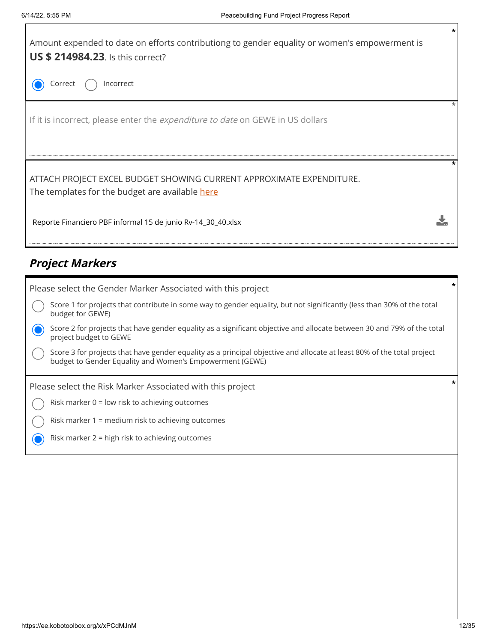

## **Project Markers**

| Please select the Gender Marker Associated with this project                                                                                                                       | * |
|------------------------------------------------------------------------------------------------------------------------------------------------------------------------------------|---|
| Score 1 for projects that contribute in some way to gender equality, but not significantly (less than 30% of the total<br>budget for GEWE)                                         |   |
| Score 2 for projects that have gender equality as a significant objective and allocate between 30 and 79% of the total<br>project budget to GEWE                                   |   |
| Score 3 for projects that have gender equality as a principal objective and allocate at least 80% of the total project<br>budget to Gender Equality and Women's Empowerment (GEWE) |   |
|                                                                                                                                                                                    |   |
| Please select the Risk Marker Associated with this project                                                                                                                         | * |
| Risk marker $0 =$ low risk to achieving outcomes                                                                                                                                   |   |
| Risk marker 1 = medium risk to achieving outcomes                                                                                                                                  |   |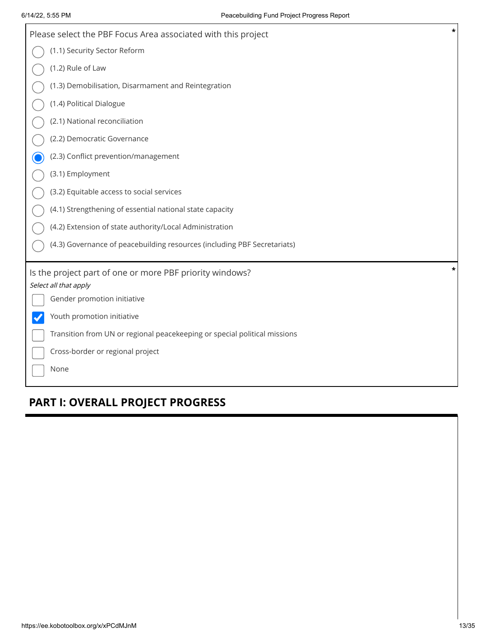| $\ast$<br>Please select the PBF Focus Area associated with this project   |
|---------------------------------------------------------------------------|
| (1.1) Security Sector Reform                                              |
| (1.2) Rule of Law                                                         |
| (1.3) Demobilisation, Disarmament and Reintegration                       |
| (1.4) Political Dialogue                                                  |
| (2.1) National reconciliation                                             |
| (2.2) Democratic Governance                                               |
| (2.3) Conflict prevention/management                                      |
| (3.1) Employment                                                          |
| (3.2) Equitable access to social services                                 |
| (4.1) Strengthening of essential national state capacity                  |
| (4.2) Extension of state authority/Local Administration                   |
| (4.3) Governance of peacebuilding resources (including PBF Secretariats)  |
| *<br>Is the project part of one or more PBF priority windows?             |
| Select all that apply                                                     |
| Gender promotion initiative                                               |
| Youth promotion initiative                                                |
| Transition from UN or regional peacekeeping or special political missions |
| Cross-border or regional project                                          |
| None                                                                      |

# **PART I: OVERALL PROJECT PROGRESS**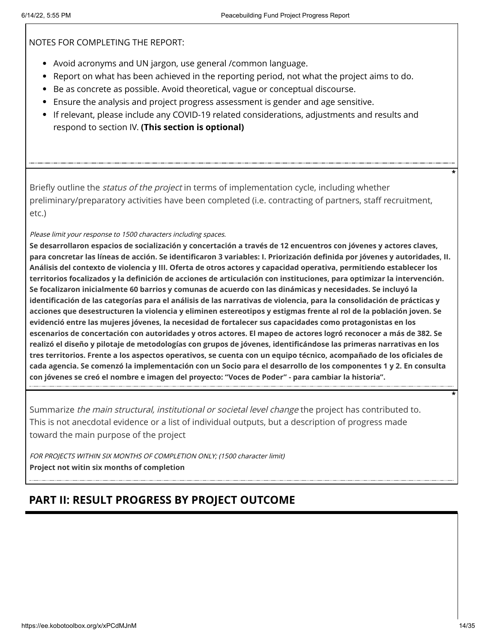NOTES FOR COMPLETING THE REPORT:

- Avoid acronyms and UN jargon, use general /common language.
- Report on what has been achieved in the reporting period, not what the project aims to do.
- Be as concrete as possible. Avoid theoretical, vague or conceptual discourse.
- Ensure the analysis and project progress assessment is gender and age sensitive.
- If relevant, please include any COVID-19 related considerations, adjustments and results and respond to section IV. **(This section is optional)**

Briefly outline the *status of the project* in terms of implementation cycle, including whether preliminary/preparatory activities have been completed (i.e. contracting of partners, staff recruitment, etc.)

Please limit your response to 1500 characters including spaces.

**Se desarrollaron espacios de socialización y concertación a través de 12 encuentros con jóvenes y actores claves, para concretar las líneas de acción. Se identificaron 3 variables: I. Priorización definida por jóvenes y autoridades, II. Análisis del contexto de violencia y III. Oferta de otros actores y capacidad operativa, permitiendo establecer los territorios focalizados y la definición de acciones de articulación con instituciones, para optimizar la intervención. Se focalizaron inicialmente 60 barrios y comunas de acuerdo con las dinámicas y necesidades. Se incluyó la identificación de las categorías para el análisis de las narrativas de violencia, para la consolidación de prácticas y acciones que desestructuren la violencia y eliminen estereotipos y estigmas frente al rol de la población joven. Se evidenció entre las mujeres jóvenes, la necesidad de fortalecer sus capacidades como protagonistas en los escenarios de concertación con autoridades y otros actores. El mapeo de actores logró reconocer a más de 382. Se realizó el diseño y pilotaje de metodologías con grupos de jóvenes, identificándose las primeras narrativas en los tres territorios. Frente a los aspectos operativos, se cuenta con un equipo técnico, acompañado de los oficiales de cada agencia. Se comenzó la implementación con un Socio para el desarrollo de los componentes 1 y 2. En consulta con jóvenes se creó el nombre e imagen del proyecto: "Voces de Poder" - para cambiar la historia".**

Summarize the main structural, institutional or societal level change the project has contributed to. This is not anecdotal evidence or a list of individual outputs, but a description of progress made toward the main purpose of the project

FOR PROJECTS WITHIN SIX MONTHS OF COMPLETION ONLY; (1500 character limit) **Project not witin six months of completion**

# **PART II: RESULT PROGRESS BY PROJECT OUTCOME**

**\***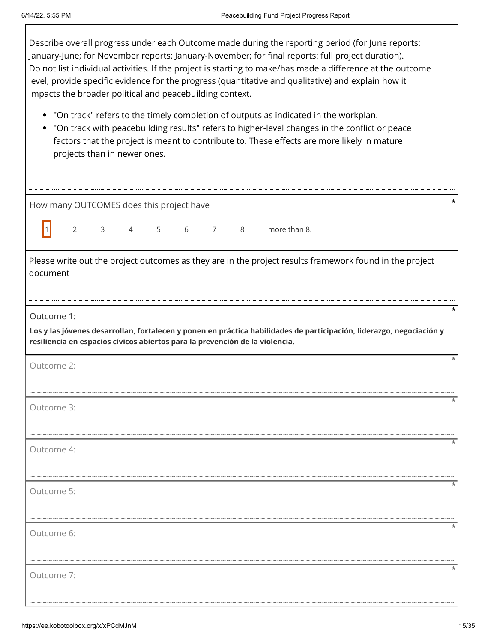| Describe overall progress under each Outcome made during the reporting period (for June reports:           |
|------------------------------------------------------------------------------------------------------------|
| January-June; for November reports: January-November; for final reports: full project duration).           |
| Do not list individual activities. If the project is starting to make/has made a difference at the outcome |
| level, provide specific evidence for the progress (quantitative and qualitative) and explain how it        |
| impacts the broader political and peacebuilding context.                                                   |

- "On track" refers to the timely completion of outputs as indicated in the workplan.
- "On track with peacebuilding results" refers to higher-level changes in the conflict or peace factors that the project is meant to contribute to. These effects are more likely in mature projects than in newer ones.

| How many OUTCOMES does this project have                                                                                                                                                             |  |
|------------------------------------------------------------------------------------------------------------------------------------------------------------------------------------------------------|--|
| $\vert$ 1 $\vert$<br>2 3 4 5 6 7 8 more than 8.                                                                                                                                                      |  |
| Please write out the project outcomes as they are in the project results framework found in the project<br>document                                                                                  |  |
| Outcome 1:                                                                                                                                                                                           |  |
| Los y las jóvenes desarrollan, fortalecen y ponen en práctica habilidades de participación, liderazgo, negociación y<br>resiliencia en espacios cívicos abiertos para la prevención de la violencia. |  |
| Outcome 2:                                                                                                                                                                                           |  |
| Outcome 3:                                                                                                                                                                                           |  |
| Outcome 4:                                                                                                                                                                                           |  |
| Outcome 5:                                                                                                                                                                                           |  |
| Outcome 6:                                                                                                                                                                                           |  |
| Outcome 7:                                                                                                                                                                                           |  |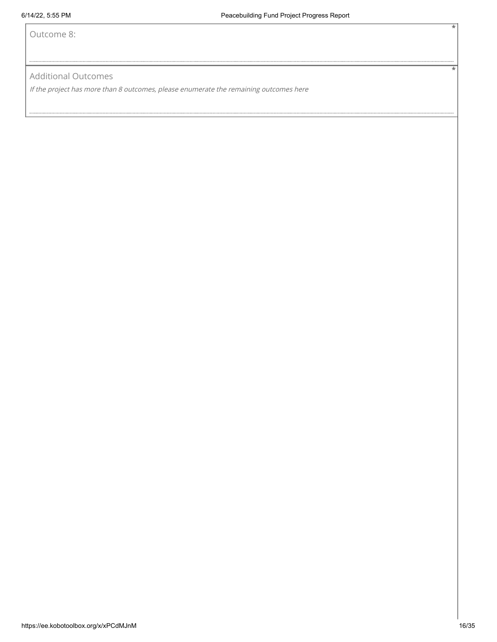Outcome 8:

Additional Outcomes

If the project has more than 8 outcomes, please enumerate the remaining outcomes here

**\***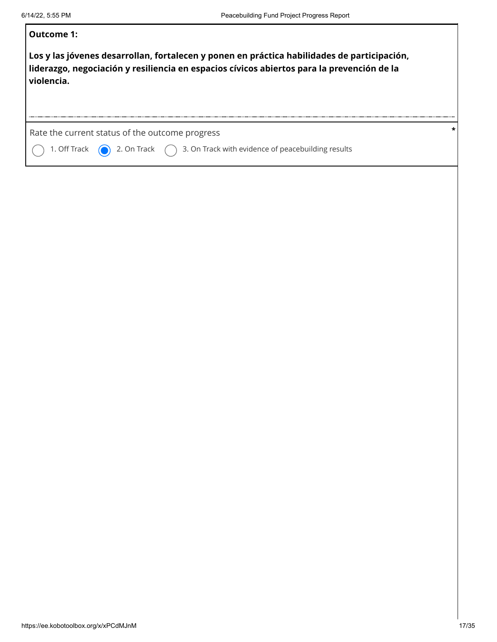| Outcome 1:                                                                                                                                                                                              |  |
|---------------------------------------------------------------------------------------------------------------------------------------------------------------------------------------------------------|--|
| Los y las jóvenes desarrollan, fortalecen y ponen en práctica habilidades de participación,<br>liderazgo, negociación y resiliencia en espacios cívicos abiertos para la prevención de la<br>violencia. |  |
| Rate the current status of the outcome progress<br>1. Off Track $\bigcirc$ 2. On Track $\bigcirc$ 3. On Track with evidence of peacebuilding results                                                    |  |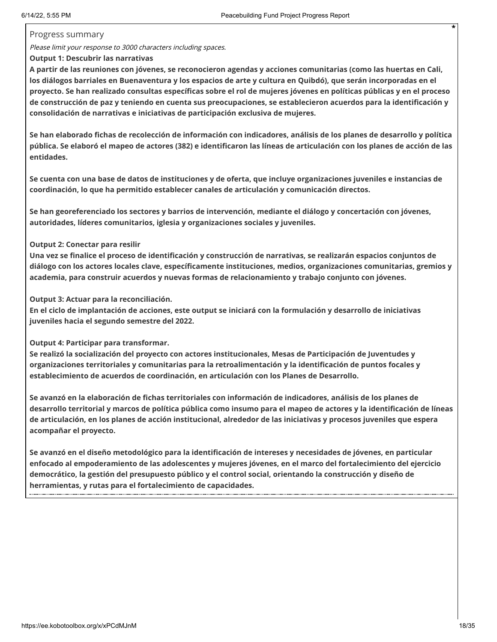### Progress summary

Please limit your response to 3000 characters including spaces.

### **Output 1: Descubrir las narrativas**

**A partir de las reuniones con jóvenes, se reconocieron agendas y acciones comunitarias (como las huertas en Cali, los diálogos barriales en Buenaventura y los espacios de arte y cultura en Quibdó), que serán incorporadas en el proyecto. Se han realizado consultas específicas sobre el rol de mujeres jóvenes en políticas públicas y en el proceso de construcción de paz y teniendo en cuenta sus preocupaciones, se establecieron acuerdos para la identificación y consolidación de narrativas e iniciativas de participación exclusiva de mujeres.**

**Se han elaborado fichas de recolección de información con indicadores, análisis de los planes de desarrollo y política pública. Se elaboró el mapeo de actores (382) e identificaron las líneas de articulación con los planes de acción de las entidades.**

**Se cuenta con una base de datos de instituciones y de oferta, que incluye organizaciones juveniles e instancias de coordinación, lo que ha permitido establecer canales de articulación y comunicación directos.** 

**Se han georeferenciado los sectores y barrios de intervención, mediante el diálogo y concertación con jóvenes, autoridades, líderes comunitarios, iglesia y organizaciones sociales y juveniles.**

### **Output 2: Conectar para resilir**

**Una vez se finalice el proceso de identificación y construcción de narrativas, se realizarán espacios conjuntos de diálogo con los actores locales clave, específicamente instituciones, medios, organizaciones comunitarias, gremios y academia, para construir acuerdos y nuevas formas de relacionamiento y trabajo conjunto con jóvenes.** 

### **Output 3: Actuar para la reconciliación.**

**En el ciclo de implantación de acciones, este output se iniciará con la formulación y desarrollo de iniciativas juveniles hacia el segundo semestre del 2022.**

**Output 4: Participar para transformar.**

**Se realizó la socialización del proyecto con actores institucionales, Mesas de Participación de Juventudes y organizaciones territoriales y comunitarias para la retroalimentación y la identificación de puntos focales y establecimiento de acuerdos de coordinación, en articulación con los Planes de Desarrollo.**

**Se avanzó en la elaboración de fichas territoriales con información de indicadores, análisis de los planes de desarrollo territorial y marcos de política pública como insumo para el mapeo de actores y la identificación de líneas de articulación, en los planes de acción institucional, alrededor de las iniciativas y procesos juveniles que espera acompañar el proyecto.** 

**Se avanzó en el diseño metodológico para la identificación de intereses y necesidades de jóvenes, en particular enfocado al empoderamiento de las adolescentes y mujeres jóvenes, en el marco del fortalecimiento del ejercicio democrático, la gestión del presupuesto público y el control social, orientando la construcción y diseño de herramientas, y rutas para el fortalecimiento de capacidades.**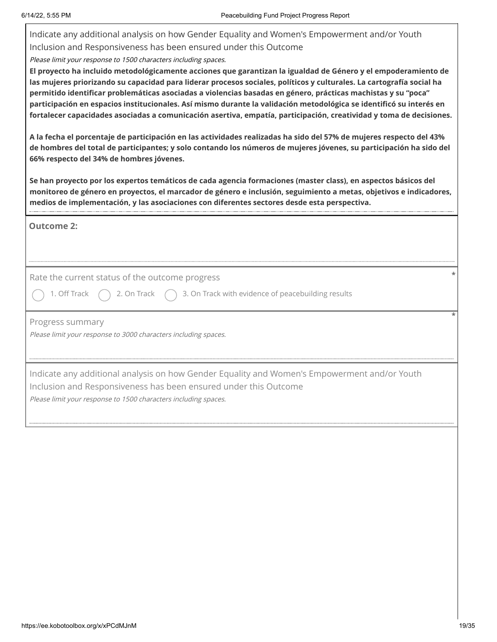| Indicate any additional analysis on how Gender Equality and Women's Empowerment and/or Youth<br>Inclusion and Responsiveness has been ensured under this Outcome<br>Please limit your response to 1500 characters including spaces.<br>El proyecto ha incluido metodológicamente acciones que garantizan la igualdad de Género y el empoderamiento de<br>las mujeres priorizando su capacidad para liderar procesos sociales, políticos y culturales. La cartografía social ha<br>permitido identificar problemáticas asociadas a violencias basadas en género, prácticas machistas y su "poca"<br>participación en espacios institucionales. Así mismo durante la validación metodológica se identificó su interés en<br>fortalecer capacidades asociadas a comunicación asertiva, empatía, participación, creatividad y toma de decisiones.<br>A la fecha el porcentaje de participación en las actividades realizadas ha sido del 57% de mujeres respecto del 43%<br>de hombres del total de participantes; y solo contando los números de mujeres jóvenes, su participación ha sido del<br>66% respecto del 34% de hombres jóvenes.<br>Se han proyecto por los expertos temáticos de cada agencia formaciones (master class), en aspectos básicos del<br>monitoreo de género en proyectos, el marcador de género e inclusión, seguimiento a metas, objetivos e indicadores,<br>medios de implementación, y las asociaciones con diferentes sectores desde esta perspectiva. |
|---------------------------------------------------------------------------------------------------------------------------------------------------------------------------------------------------------------------------------------------------------------------------------------------------------------------------------------------------------------------------------------------------------------------------------------------------------------------------------------------------------------------------------------------------------------------------------------------------------------------------------------------------------------------------------------------------------------------------------------------------------------------------------------------------------------------------------------------------------------------------------------------------------------------------------------------------------------------------------------------------------------------------------------------------------------------------------------------------------------------------------------------------------------------------------------------------------------------------------------------------------------------------------------------------------------------------------------------------------------------------------------------------------------------------------------------------------------------------------|
| <b>Outcome 2:</b>                                                                                                                                                                                                                                                                                                                                                                                                                                                                                                                                                                                                                                                                                                                                                                                                                                                                                                                                                                                                                                                                                                                                                                                                                                                                                                                                                                                                                                                               |
| Rate the current status of the outcome progress                                                                                                                                                                                                                                                                                                                                                                                                                                                                                                                                                                                                                                                                                                                                                                                                                                                                                                                                                                                                                                                                                                                                                                                                                                                                                                                                                                                                                                 |
| 3. On Track with evidence of peacebuilding results<br>1. Off Track<br>2. On Track                                                                                                                                                                                                                                                                                                                                                                                                                                                                                                                                                                                                                                                                                                                                                                                                                                                                                                                                                                                                                                                                                                                                                                                                                                                                                                                                                                                               |
| Progress summary<br>Please limit your response to 3000 characters including spaces.                                                                                                                                                                                                                                                                                                                                                                                                                                                                                                                                                                                                                                                                                                                                                                                                                                                                                                                                                                                                                                                                                                                                                                                                                                                                                                                                                                                             |
| Indicate any additional analysis on how Gender Equality and Women's Empowerment and/or Youth<br>Inclusion and Responsiveness has been ensured under this Outcome<br>Please limit your response to 1500 characters including spaces.                                                                                                                                                                                                                                                                                                                                                                                                                                                                                                                                                                                                                                                                                                                                                                                                                                                                                                                                                                                                                                                                                                                                                                                                                                             |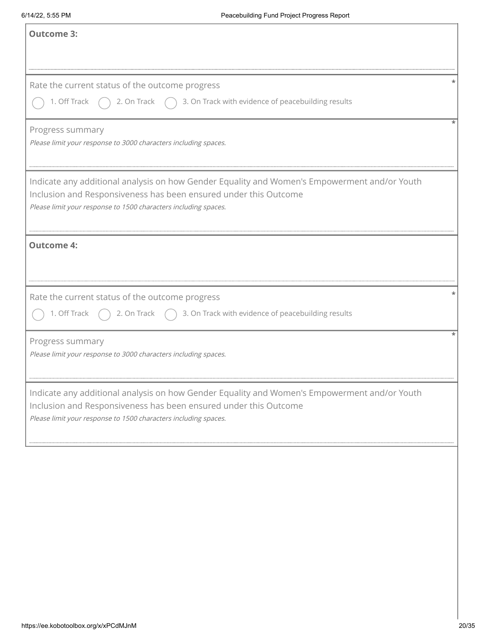| <b>Outcome 3:</b>                                                                                                                                                                                                                   |
|-------------------------------------------------------------------------------------------------------------------------------------------------------------------------------------------------------------------------------------|
| Rate the current status of the outcome progress<br>1. Off Track $\bigcap$ 2. On Track $\bigcap$ 3. On Track with evidence of peacebuilding results                                                                                  |
| Progress summary<br>Please limit your response to 3000 characters including spaces.                                                                                                                                                 |
| Indicate any additional analysis on how Gender Equality and Women's Empowerment and/or Youth<br>Inclusion and Responsiveness has been ensured under this Outcome<br>Please limit your response to 1500 characters including spaces. |
| <b>Outcome 4:</b>                                                                                                                                                                                                                   |
| Rate the current status of the outcome progress<br>1. Off Track $\bigcap$ 2. On Track $\bigcap$ 3. On Track with evidence of peacebuilding results                                                                                  |
| Progress summary<br>Please limit your response to 3000 characters including spaces.                                                                                                                                                 |
| Indicate any additional analysis on how Gender Equality and Women's Empowerment and/or Youth<br>Inclusion and Responsiveness has been ensured under this Outcome<br>Please limit your response to 1500 characters including spaces. |
|                                                                                                                                                                                                                                     |
|                                                                                                                                                                                                                                     |
|                                                                                                                                                                                                                                     |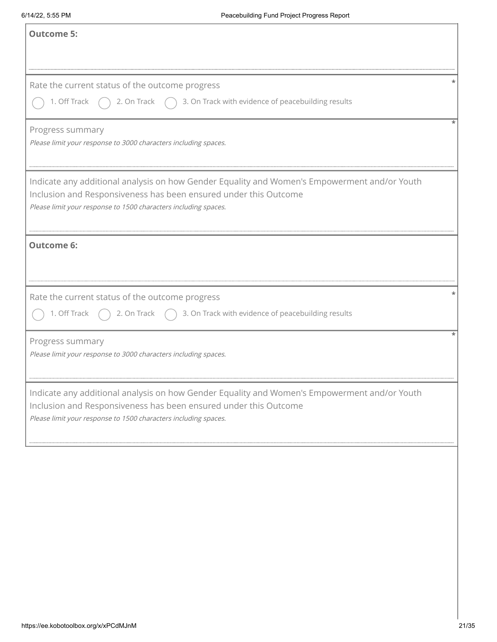| <b>Outcome 5:</b>                                                                                                                                                                                                                   |  |
|-------------------------------------------------------------------------------------------------------------------------------------------------------------------------------------------------------------------------------------|--|
| Rate the current status of the outcome progress<br>1. Off Track $\bigcap$ 2. On Track $\bigcap$ 3. On Track with evidence of peacebuilding results                                                                                  |  |
| Progress summary<br>Please limit your response to 3000 characters including spaces.                                                                                                                                                 |  |
| Indicate any additional analysis on how Gender Equality and Women's Empowerment and/or Youth<br>Inclusion and Responsiveness has been ensured under this Outcome<br>Please limit your response to 1500 characters including spaces. |  |
| <b>Outcome 6:</b>                                                                                                                                                                                                                   |  |
| Rate the current status of the outcome progress<br>1. Off Track $\bigcap$ 2. On Track $\bigcap$ 3. On Track with evidence of peacebuilding results                                                                                  |  |
| Progress summary<br>Please limit your response to 3000 characters including spaces.                                                                                                                                                 |  |
| Indicate any additional analysis on how Gender Equality and Women's Empowerment and/or Youth<br>Inclusion and Responsiveness has been ensured under this Outcome<br>Please limit your response to 1500 characters including spaces. |  |
|                                                                                                                                                                                                                                     |  |
|                                                                                                                                                                                                                                     |  |
|                                                                                                                                                                                                                                     |  |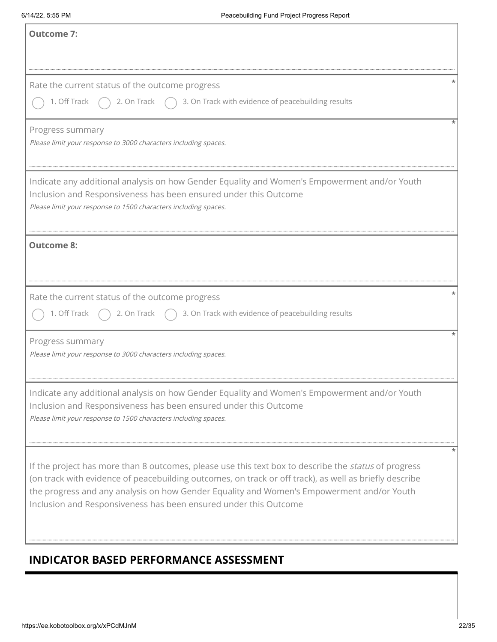| Outcome 7:                                                                                                                                                                                                                                                                                                                                                                      |
|---------------------------------------------------------------------------------------------------------------------------------------------------------------------------------------------------------------------------------------------------------------------------------------------------------------------------------------------------------------------------------|
|                                                                                                                                                                                                                                                                                                                                                                                 |
| Rate the current status of the outcome progress                                                                                                                                                                                                                                                                                                                                 |
| ◯ 1. Off Track $\bigcirc$ 2. On Track $\bigcirc$ 3. On Track with evidence of peacebuilding results                                                                                                                                                                                                                                                                             |
| Progress summary<br>Please limit your response to 3000 characters including spaces.                                                                                                                                                                                                                                                                                             |
| $\mid$ Indicate any additional analysis on how Gender Equality and Women's Empowerment and/or Youth<br>Inclusion and Responsiveness has been ensured under this Outcome<br>Please limit your response to 1500 characters including spaces.                                                                                                                                      |
| Outcome 8:                                                                                                                                                                                                                                                                                                                                                                      |
| Rate the current status of the outcome progress                                                                                                                                                                                                                                                                                                                                 |
| 1. Off Track $\bigcirc$ 2. On Track $\bigcirc$ 3. On Track with evidence of peacebuilding results                                                                                                                                                                                                                                                                               |
| Progress summary<br>Please limit your response to 3000 characters including spaces.                                                                                                                                                                                                                                                                                             |
| Indicate any additional analysis on how Gender Equality and Women's Empowerment and/or Youth<br>Inclusion and Responsiveness has been ensured under this Outcome<br>Please limit your response to 1500 characters including spaces.                                                                                                                                             |
| If the project has more than 8 outcomes, please use this text box to describe the status of progress<br>(on track with evidence of peacebuilding outcomes, on track or off track), as well as briefly describe<br>the progress and any analysis on how Gender Equality and Women's Empowerment and/or Youth<br>Inclusion and Responsiveness has been ensured under this Outcome |

## **INDICATOR BASED PERFORMANCE ASSESSMENT**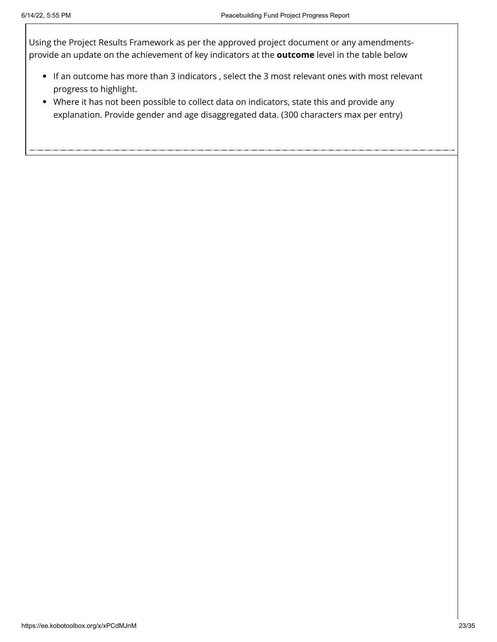Using the Project Results Framework as per the approved project document or any amendmentsprovide an update on the achievement of key indicators at the **outcome** level in the table below

- If an outcome has more than 3 indicators , select the 3 most relevant ones with most relevant progress to highlight.
- Where it has not been possible to collect data on indicators, state this and provide any explanation. Provide gender and age disaggregated data. (300 characters max per entry)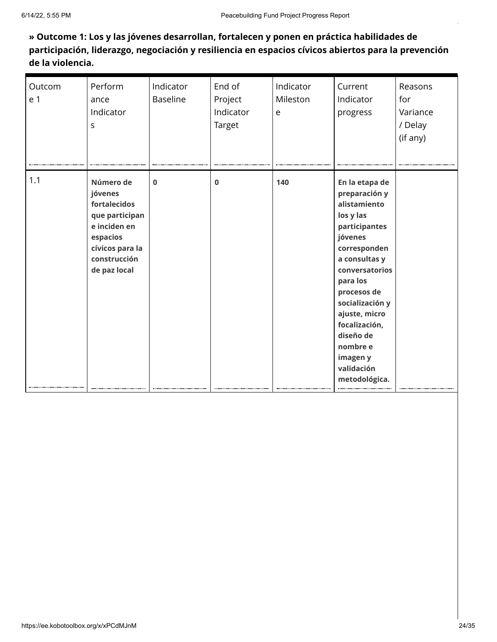### **» Outcome 1: Los y las jóvenes desarrollan, fortalecen y ponen en práctica habilidades de participación, liderazgo, negociación y resiliencia en espacios cívicos abiertos para la prevención de la violencia.**

| Outcom<br>e 1 | Perform<br>ance<br>Indicator<br>S                                                                                                     | Indicator<br><b>Baseline</b> | End of<br>Project<br>Indicator<br>Target | Indicator<br>Mileston<br>e | Current<br>Indicator<br>progress                                                                                                                                                                                                                                                                | Reasons<br>for<br>Variance<br>/ Delay<br>(if any) |
|---------------|---------------------------------------------------------------------------------------------------------------------------------------|------------------------------|------------------------------------------|----------------------------|-------------------------------------------------------------------------------------------------------------------------------------------------------------------------------------------------------------------------------------------------------------------------------------------------|---------------------------------------------------|
| 1.1           | Número de<br>jóvenes<br>fortalecidos<br>que participan<br>e inciden en<br>espacios<br>cívicos para la<br>construcción<br>de paz local | $\bf{0}$                     | $\bf{0}$                                 | 140                        | En la etapa de<br>preparación y<br>alistamiento<br>los y las<br>participantes<br>jóvenes<br>corresponden<br>a consultas y<br>conversatorios<br>para los<br>procesos de<br>socialización y<br>ajuste, micro<br>focalización,<br>diseño de<br>nombre e<br>imagen y<br>validación<br>metodológica. |                                                   |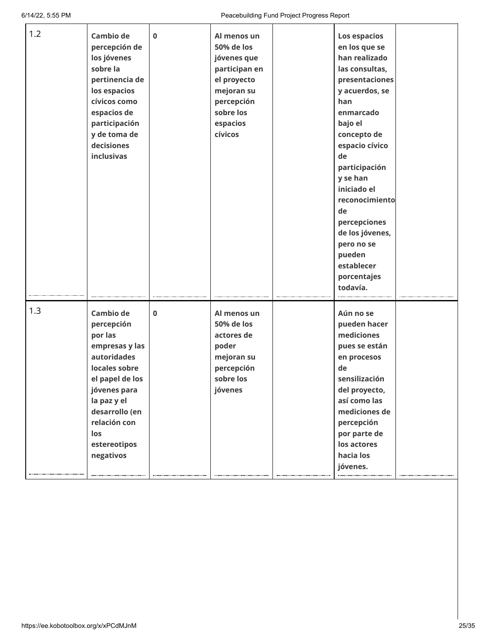| 1.2 | Cambio de<br>percepción de<br>los jóvenes<br>sobre la<br>pertinencia de<br>los espacios<br>cívicos como<br>espacios de<br>participación<br>y de toma de<br>decisiones<br>inclusivas                                 | $\mathbf 0$ | Al menos un<br>50% de los<br>jóvenes que<br>participan en<br>el proyecto<br>mejoran su<br>percepción<br>sobre los<br>espacios<br>cívicos | Los espacios<br>en los que se<br>han realizado<br>las consultas,<br>presentaciones<br>y acuerdos, se<br>han<br>enmarcado<br>bajo el<br>concepto de<br>espacio cívico<br>de<br>participación<br>y se han<br>iniciado el<br>reconocimiento<br>de<br>percepciones<br>de los jóvenes,<br>pero no se<br>pueden<br>establecer<br>porcentajes<br>todavía. |  |
|-----|---------------------------------------------------------------------------------------------------------------------------------------------------------------------------------------------------------------------|-------------|------------------------------------------------------------------------------------------------------------------------------------------|----------------------------------------------------------------------------------------------------------------------------------------------------------------------------------------------------------------------------------------------------------------------------------------------------------------------------------------------------|--|
| 1.3 | <b>Cambio de</b><br>percepción<br>por las<br>empresas y las<br>autoridades<br>locales sobre<br>el papel de los<br>jóvenes para<br>la paz y el<br>desarrollo (en<br>relación con<br>los<br>estereotipos<br>negativos | $\mathbf 0$ | Al menos un<br>50% de los<br>actores de<br>poder<br>mejoran su<br>percepción<br>sobre los<br>jóvenes                                     | Aún no se<br>pueden hacer<br>mediciones<br>pues se están<br>en procesos<br>de<br>sensilización<br>del proyecto,<br>así como las<br>mediciones de<br>percepción<br>por parte de<br>los actores<br>hacia los<br>jóvenes.                                                                                                                             |  |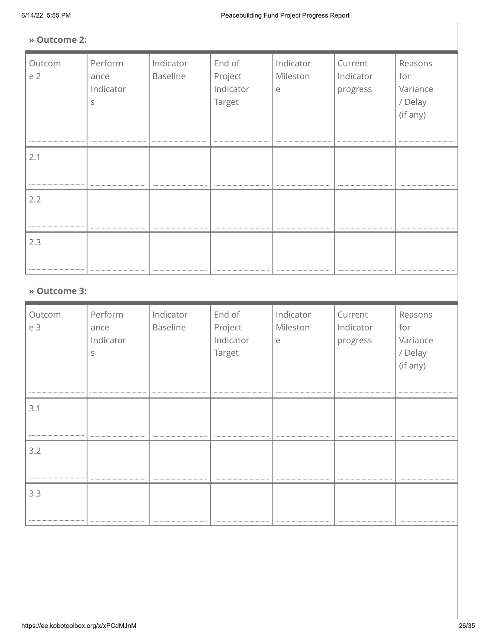### **» Outcome 2:**

| Outcom<br>e 2 | Perform<br>ance<br>Indicator<br>S | Indicator<br><b>Baseline</b> | End of<br>Project<br>Indicator<br>Target | Indicator<br>Mileston<br>e | Current<br>Indicator<br>progress | Reasons<br>for<br>Variance<br>/ Delay<br>(if any)<br> |  |
|---------------|-----------------------------------|------------------------------|------------------------------------------|----------------------------|----------------------------------|-------------------------------------------------------|--|
| 2.1           |                                   |                              |                                          |                            |                                  |                                                       |  |
| 2.2           |                                   |                              |                                          |                            |                                  |                                                       |  |
| 2.3           |                                   |                              |                                          |                            |                                  |                                                       |  |
| » Outcome 3:  |                                   |                              |                                          |                            |                                  |                                                       |  |
| Outcom<br>e 3 | Perform<br>ance                   | Indicator<br>Baseline        | End of<br>Project                        | Indicator<br>Mileston      | Current<br>Indicator             | Reasons<br>for                                        |  |

| <b>UULCUIII</b> | $1 \cup 1 \cup 1 \cup 1$ | <u>marcator</u> | LIIU VI   | <u>mandatur</u> | CUILLIL   | ncusulis |
|-----------------|--------------------------|-----------------|-----------|-----------------|-----------|----------|
| e 3             | ance                     | Baseline        | Project   | Mileston        | Indicator | for      |
|                 | Indicator                |                 | Indicator | e               | progress  | Variance |
|                 | S                        |                 | Target    |                 |           | / Delay  |
|                 |                          |                 |           |                 |           | (if any) |
|                 |                          |                 |           |                 |           |          |
|                 |                          |                 |           |                 |           |          |
|                 |                          |                 |           |                 |           |          |
| 3.1             |                          |                 |           |                 |           |          |
|                 |                          |                 |           |                 |           |          |
|                 |                          |                 |           |                 |           |          |
| 3.2             |                          |                 |           |                 |           |          |
|                 |                          |                 |           |                 |           |          |
|                 |                          |                 |           |                 |           |          |
|                 |                          |                 |           |                 |           |          |
| 3.3             |                          |                 |           |                 |           |          |
|                 |                          |                 |           |                 |           |          |
|                 |                          |                 |           |                 |           |          |
|                 |                          |                 |           |                 |           |          |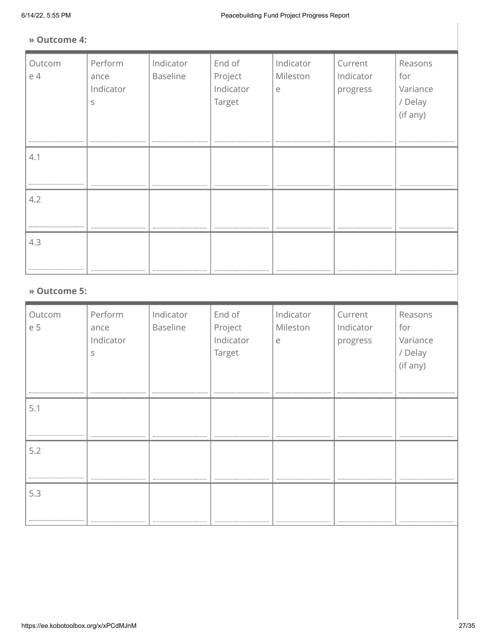### **» Outcome 4:**

| Outcom<br>e 4 | Perform<br>ance<br>Indicator<br>S | Indicator<br>Baseline | End of<br>Project<br>Indicator<br>Target | Indicator<br>Mileston<br>e | Current<br>Indicator<br>progress | Reasons<br>for<br>Variance<br>/ Delay<br>(if any) |
|---------------|-----------------------------------|-----------------------|------------------------------------------|----------------------------|----------------------------------|---------------------------------------------------|
| 4.1           |                                   |                       |                                          |                            |                                  |                                                   |
| 4.2           |                                   |                       |                                          |                            |                                  |                                                   |
| 4.3           |                                   |                       |                                          |                            |                                  |                                                   |
| » Outcome 5:  |                                   |                       |                                          |                            |                                  |                                                   |
| Outcom<br>e 5 | Perform<br>ance                   | Indicator<br>Baseline | End of<br>Project                        | Indicator<br>Mileston      | Current<br>Indicator             | Reasons<br>for                                    |

| -------<br>e 5 | --------<br>ance<br>Indicator<br>S | .<br>Baseline | _<br>Project<br>Indicator<br>Target | $ $ $ $ $ $ $ $ $ $ $ $<br>Mileston<br>e | _ _ _ _ _ _ _<br>Indicator<br>progress | for<br>Variance<br>/ Delay<br>(if any) |
|----------------|------------------------------------|---------------|-------------------------------------|------------------------------------------|----------------------------------------|----------------------------------------|
| 5.1            |                                    |               |                                     |                                          |                                        |                                        |
| 5.2            |                                    |               |                                     |                                          |                                        |                                        |
| 5.3            |                                    |               |                                     |                                          |                                        |                                        |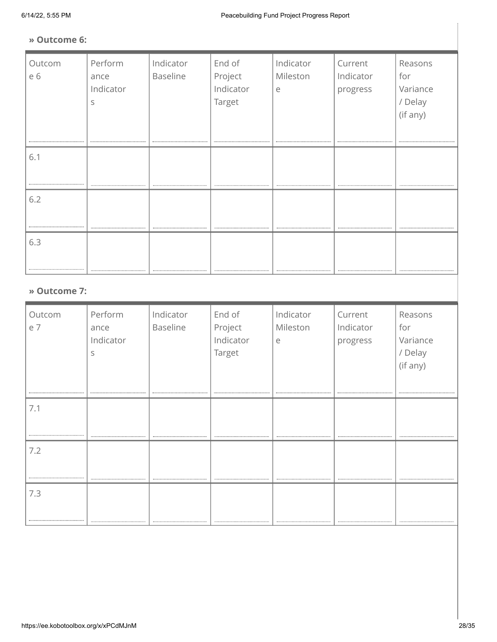### **» Outcome 6:**

| Outcom<br>e 6 | Perform<br>ance<br>Indicator<br>S | Indicator<br><b>Baseline</b> | End of<br>Project<br>Indicator<br>Target | Indicator<br>Mileston<br>$\in$ | Current<br>Indicator<br>progress | Reasons<br>for<br>Variance<br>/ Delay<br>(if any) |
|---------------|-----------------------------------|------------------------------|------------------------------------------|--------------------------------|----------------------------------|---------------------------------------------------|
| 6.1           |                                   |                              |                                          |                                |                                  |                                                   |
| 6.2           |                                   |                              |                                          |                                |                                  |                                                   |
| 6.3<br>.      |                                   |                              |                                          |                                |                                  |                                                   |
| » Outcome 7:  |                                   |                              |                                          |                                |                                  |                                                   |
| Outcom<br>e 7 | Perform<br>ance<br>Indicator<br>S | Indicator<br><b>Baseline</b> | End of<br>Project<br>Indicator<br>Target | Indicator<br>Mileston<br>e     | Current<br>Indicator<br>progress | Reasons<br>for<br>Variance<br>/ Delay<br>(if any) |

7.1

7.2

..... 7.3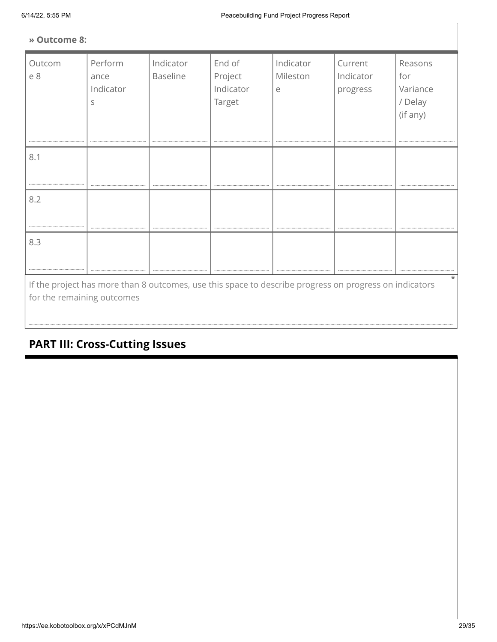### **» Outcome 8:**

| Outcom<br>e 8                                                                                                                        | Perform<br>ance<br>Indicator<br>S | Indicator<br>Baseline | End of<br>Project<br>Indicator<br>Target | Indicator<br>Mileston<br>e | Current<br>Indicator<br>progress | Reasons<br>for<br>Variance<br>/ Delay<br>(if any) |
|--------------------------------------------------------------------------------------------------------------------------------------|-----------------------------------|-----------------------|------------------------------------------|----------------------------|----------------------------------|---------------------------------------------------|
| 8.1                                                                                                                                  |                                   |                       |                                          |                            |                                  |                                                   |
| 8.2                                                                                                                                  |                                   |                       |                                          |                            |                                  |                                                   |
| 8.3<br>                                                                                                                              |                                   |                       |                                          |                            |                                  |                                                   |
| If the project has more than 8 outcomes, use this space to describe progress on progress on indicators<br>for the remaining outcomes |                                   |                       |                                          |                            |                                  |                                                   |

# **PART III: Cross-Cutting Issues**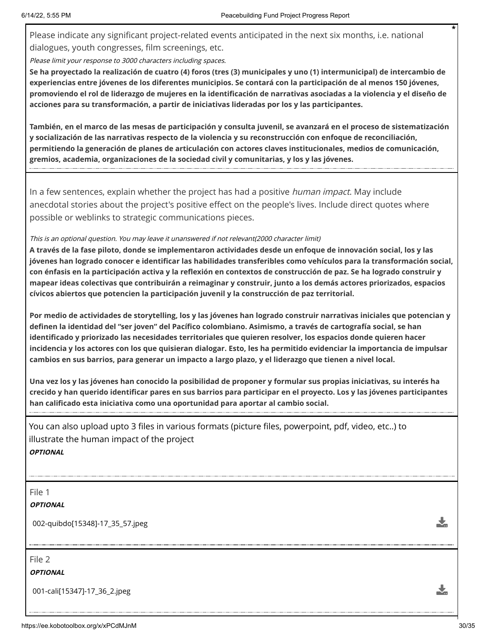Please indicate any significant project-related events anticipated in the next six months, i.e. national dialogues, youth congresses, film screenings, etc.

Please limit your response to 3000 characters including spaces.

**Se ha proyectado la realización de cuatro (4) foros (tres (3) municipales y uno (1) intermunicipal) de intercambio de experiencias entre jóvenes de los diferentes municipios. Se contará con la participación de al menos 150 jóvenes, promoviendo el rol de liderazgo de mujeres en la identificación de narrativas asociadas a la violencia y el diseño de acciones para su transformación, a partir de iniciativas lideradas por los y las participantes.** 

**También, en el marco de las mesas de participación y consulta juvenil, se avanzará en el proceso de sistematización y socialización de las narrativas respecto de la violencia y su reconstrucción con enfoque de reconciliación, permitiendo la generación de planes de articulación con actores claves institucionales, medios de comunicación, gremios, academia, organizaciones de la sociedad civil y comunitarias, y los y las jóvenes.**

In a few sentences, explain whether the project has had a positive *human impact*. May include anecdotal stories about the project's positive effect on the people's lives. Include direct quotes where possible or weblinks to strategic communications pieces.

### This is an optional question. You may leave it unanswered if not relevant(2000 character limit)

**A través de la fase piloto, donde se implementaron actividades desde un enfoque de innovación social, los y las jóvenes han logrado conocer e identificar las habilidades transferibles como vehículos para la transformación social, con énfasis en la participación activa y la reflexión en contextos de construcción de paz. Se ha logrado construir y mapear ideas colectivas que contribuirán a reimaginar y construir, junto a los demás actores priorizados, espacios cívicos abiertos que potencien la participación juvenil y la construcción de paz territorial.** 

**Por medio de actividades de storytelling, los y las jóvenes han logrado construir narrativas iniciales que potencian y definen la identidad del "ser joven" del Pacífico colombiano. Asimismo, a través de cartografía social, se han identificado y priorizado las necesidades territoriales que quieren resolver, los espacios donde quieren hacer incidencia y los actores con los que quisieran dialogar. Esto, les ha permitido evidenciar la importancia de impulsar cambios en sus barrios, para generar un impacto a largo plazo, y el liderazgo que tienen a nivel local.** 

**Una vez los y las jóvenes han conocido la posibilidad de proponer y formular sus propias iniciativas, su interés ha crecido y han querido identificar pares en sus barrios para participar en el proyecto. Los y las jóvenes participantes han calificado esta iniciativa como una oportunidad para aportar al cambio social.** 

You can also upload upto 3 files in various formats (picture files, powerpoint, pdf, video, etc..) to illustrate the human impact of the project **OPTIONAL**

File 1

### **OPTIONAL**

002-quibdo[15348]-17\_35\_57.jpeg

File 2

**OPTIONAL**

001-cali[15347]-17\_36\_2.jpeg

Ÿ.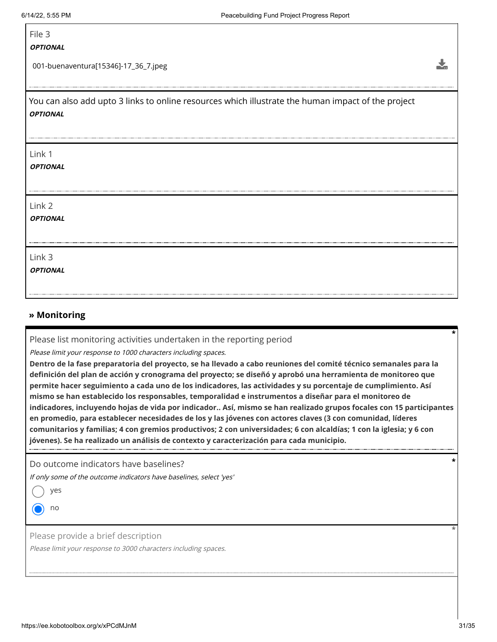### File 3

#### **OPTIONAL**

001-buenaventura[15346]-17\_36\_7.jpeg

You can also add upto 3 links to online resources which illustrate the human impact of the project **OPTIONAL**

#### Link 1

**OPTIONAL**

Link 2

**OPTIONAL**

Link 3

**OPTIONAL**

### **» Monitoring**

Please list monitoring activities undertaken in the reporting period

Please limit your response to 1000 characters including spaces.

**Dentro de la fase preparatoria del proyecto, se ha llevado a cabo reuniones del comité técnico semanales para la definición del plan de acción y cronograma del proyecto; se diseñó y aprobó una herramienta de monitoreo que permite hacer seguimiento a cada uno de los indicadores, las actividades y su porcentaje de cumplimiento. Así mismo se han establecido los responsables, temporalidad e instrumentos a diseñar para el monitoreo de indicadores, incluyendo hojas de vida por indicador.. Así, mismo se han realizado grupos focales con 15 participantes en promedio, para establecer necesidades de los y las jóvenes con actores claves (3 con comunidad, líderes comunitarios y familias; 4 con gremios productivos; 2 con universidades; 6 con alcaldías; 1 con la iglesia; y 6 con jóvenes). Se ha realizado un análisis de contexto y caracterización para cada municipio.**

Do outcome indicators have baselines?

If only some of the outcome indicators have baselines, select 'yes'

yes

no

Please provide a brief description

Please limit your response to 3000 characters including spaces.

 $\frac{1}{2}$ 

**\***

**\***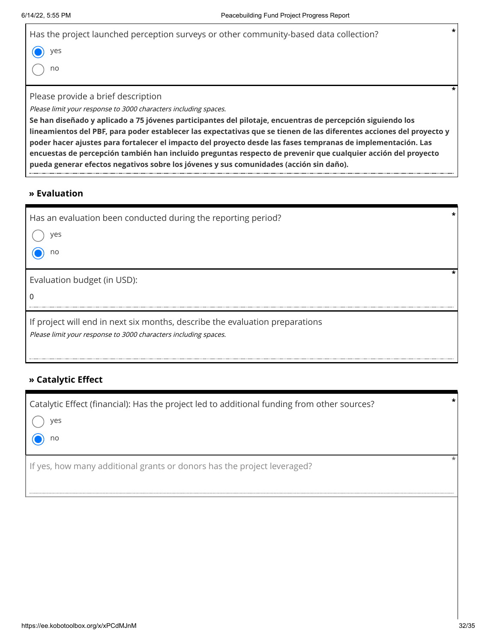| $\star$<br>Has the project launched perception surveys or other community-based data collection?                     |  |
|----------------------------------------------------------------------------------------------------------------------|--|
| yes                                                                                                                  |  |
| no                                                                                                                   |  |
|                                                                                                                      |  |
| Please provide a brief description                                                                                   |  |
| Please limit your response to 3000 characters including spaces.                                                      |  |
| Se han diseñado y aplicado a 75 jóvenes participantes del pilotaje, encuentras de percepción siguiendo los           |  |
| lineamientos del PBF, para poder establecer las expectativas que se tienen de las diferentes acciones del proyecto y |  |
| poder hacer ajustes para fortalecer el impacto del proyecto desde las fases tempranas de implementación. Las         |  |
| encuestas de percepción también han incluido preguntas respecto de prevenir que cualquier acción del proyecto        |  |

**pueda generar efectos negativos sobre los jóvenes y sus comunidades (acción sin daño).**

### **» Evaluation**

|   | Has an evaluation been conducted during the reporting period?                |  |
|---|------------------------------------------------------------------------------|--|
|   | yes                                                                          |  |
|   | no                                                                           |  |
|   |                                                                              |  |
|   | Evaluation budget (in USD):                                                  |  |
| 0 |                                                                              |  |
|   | If project will end in next six months, describe the evaluation preparations |  |
|   | Please limit your response to 3000 characters including spaces.              |  |

### **» Catalytic Effect**

| Catalytic Effect (financial): Has the project led to additional funding from other sources? | $\star$ |
|---------------------------------------------------------------------------------------------|---------|
| yes                                                                                         |         |
| no                                                                                          |         |
| If yes, how many additional grants or donors has the project leveraged?                     |         |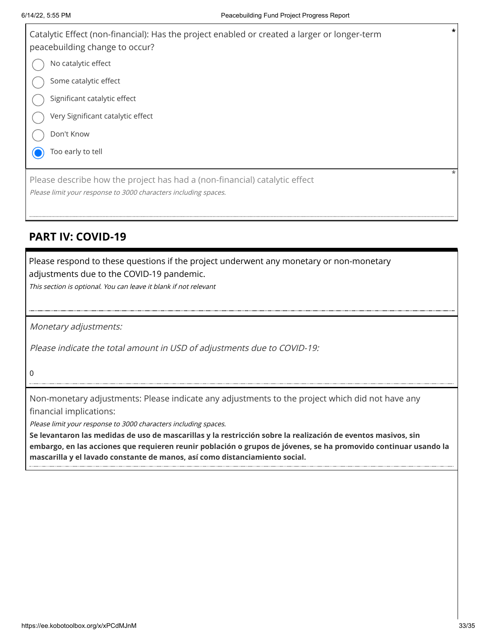

## **PART IV: COVID-19**

Please respond to these questions if the project underwent any monetary or non-monetary adjustments due to the COVID-19 pandemic.

This section is optional. You can leave it blank if not relevant

Monetary adjustments:

Please indicate the total amount in USD of adjustments due to COVID-19:

0

Non-monetary adjustments: Please indicate any adjustments to the project which did not have any financial implications:

Please limit your response to 3000 characters including spaces.

**Se levantaron las medidas de uso de mascarillas y la restricción sobre la realización de eventos masivos, sin embargo, en las acciones que requieren reunir población o grupos de jóvenes, se ha promovido continuar usando la mascarilla y el lavado constante de manos, así como distanciamiento social.**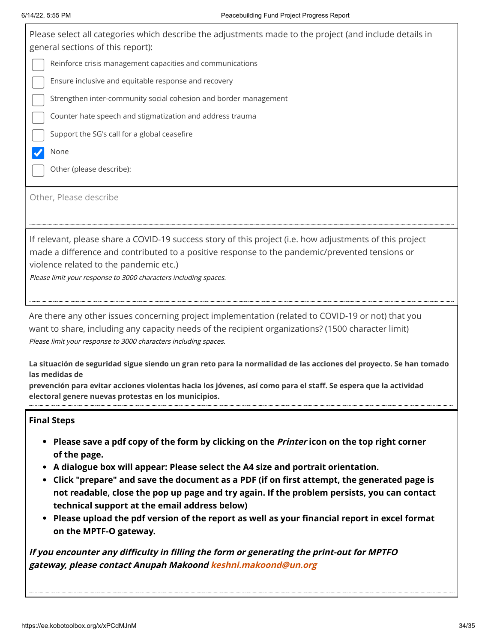Please select all categories which describe the adjustments made to the project (and include details in general sections of this report): Reinforce crisis management capacities and communications Ensure inclusive and equitable response and recovery Strengthen inter-community social cohesion and border management Counter hate speech and stigmatization and address trauma Support the SG's call for a global ceasefire None  $\blacktriangledown$ Other (please describe): Other, Please describe

If relevant, please share a COVID-19 success story of this project (i.e. how adjustments of this project made a difference and contributed to a positive response to the pandemic/prevented tensions or violence related to the pandemic etc.)

Please limit your response to 3000 characters including spaces.

Are there any other issues concerning project implementation (related to COVID-19 or not) that you want to share, including any capacity needs of the recipient organizations? (1500 character limit) Please limit your response to 3000 characters including spaces.

**La situación de seguridad sigue siendo un gran reto para la normalidad de las acciones del proyecto. Se han tomado las medidas de** 

**prevención para evitar acciones violentas hacia los jóvenes, así como para el staff. Se espera que la actividad electoral genere nuevas protestas en los municipios.**

### **Final Steps**

- **Please save a pdf copy of the form by clicking on the Printer icon on the top right corner of the page.**
- **A dialogue box will appear: Please select the A4 size and portrait orientation.**
- **Click "prepare" and save the document as a PDF (if on first attempt, the generated page is not readable, close the pop up page and try again. If the problem persists, you can contact technical support at the email address below)**
- **Please upload the pdf version of the report as well as your financial report in excel format on the MPTF-O gateway.**

**If you encounter any difficulty in filling the form or generating the print-out for MPTFO gateway, please contact Anupah Makoond [keshni.makoond@un.org](https://ee.kobotoolbox.org/x/keshni.makoond@un.org)**